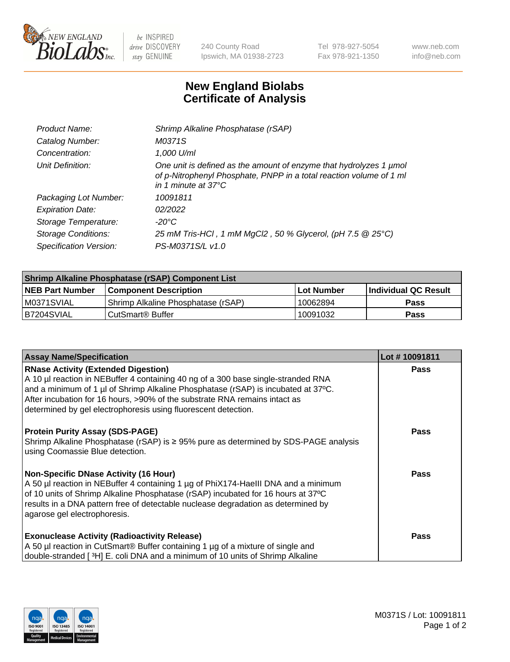

 $be$  INSPIRED drive DISCOVERY stay GENUINE

240 County Road Ipswich, MA 01938-2723 Tel 978-927-5054 Fax 978-921-1350 www.neb.com info@neb.com

## **New England Biolabs Certificate of Analysis**

| Product Name:              | Shrimp Alkaline Phosphatase (rSAP)                                                                                                                                         |
|----------------------------|----------------------------------------------------------------------------------------------------------------------------------------------------------------------------|
| Catalog Number:            | M0371S                                                                                                                                                                     |
| Concentration:             | 1,000 U/ml                                                                                                                                                                 |
| Unit Definition:           | One unit is defined as the amount of enzyme that hydrolyzes 1 µmol<br>of p-Nitrophenyl Phosphate, PNPP in a total reaction volume of 1 ml<br>in 1 minute at $37^{\circ}$ C |
| Packaging Lot Number:      | 10091811                                                                                                                                                                   |
| <b>Expiration Date:</b>    | 02/2022                                                                                                                                                                    |
| Storage Temperature:       | $-20^{\circ}$ C                                                                                                                                                            |
| <b>Storage Conditions:</b> | 25 mM Tris-HCl, 1 mM MgCl2, 50 % Glycerol, (pH 7.5 @ 25°C)                                                                                                                 |
| Specification Version:     | PS-M0371S/L v1.0                                                                                                                                                           |

| Shrimp Alkaline Phosphatase (rSAP) Component List |                                     |                   |                      |  |  |
|---------------------------------------------------|-------------------------------------|-------------------|----------------------|--|--|
| <b>NEB Part Number</b>                            | <b>Component Description</b>        | <b>Lot Number</b> | Individual QC Result |  |  |
| IM0371SVIAL                                       | 'Shrimp Alkaline Phosphatase (rSAP) | ' 10062894        | Pass                 |  |  |
| B7204SVIAL                                        | CutSmart® Buffer                    | 10091032          | Pass                 |  |  |

| <b>Assay Name/Specification</b>                                                                                                                                                                                                                                                                                                                                      | Lot #10091811 |
|----------------------------------------------------------------------------------------------------------------------------------------------------------------------------------------------------------------------------------------------------------------------------------------------------------------------------------------------------------------------|---------------|
| <b>RNase Activity (Extended Digestion)</b><br>A 10 µl reaction in NEBuffer 4 containing 40 ng of a 300 base single-stranded RNA<br>and a minimum of 1 µl of Shrimp Alkaline Phosphatase (rSAP) is incubated at 37°C.<br>After incubation for 16 hours, >90% of the substrate RNA remains intact as<br>determined by gel electrophoresis using fluorescent detection. | <b>Pass</b>   |
| <b>Protein Purity Assay (SDS-PAGE)</b><br>Shrimp Alkaline Phosphatase (rSAP) is $\geq$ 95% pure as determined by SDS-PAGE analysis<br>using Coomassie Blue detection.                                                                                                                                                                                                | <b>Pass</b>   |
| <b>Non-Specific DNase Activity (16 Hour)</b><br>A 50 µl reaction in NEBuffer 4 containing 1 µg of PhiX174-HaellI DNA and a minimum<br>of 10 units of Shrimp Alkaline Phosphatase (rSAP) incubated for 16 hours at 37°C<br>results in a DNA pattern free of detectable nuclease degradation as determined by<br>agarose gel electrophoresis.                          | <b>Pass</b>   |
| <b>Exonuclease Activity (Radioactivity Release)</b><br>A 50 µl reaction in CutSmart® Buffer containing 1 µg of a mixture of single and<br>double-stranded [3H] E. coli DNA and a minimum of 10 units of Shrimp Alkaline                                                                                                                                              | <b>Pass</b>   |